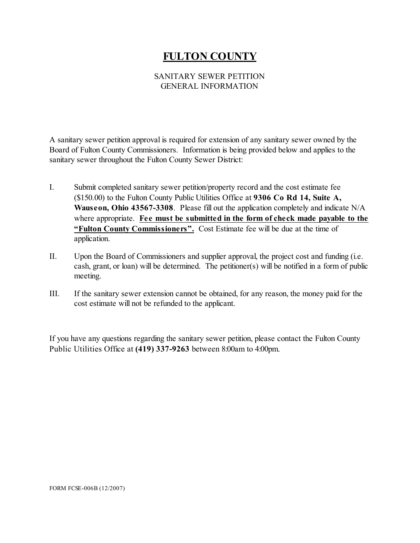# **FULTON COUNTY**

### SANITARY SEWER PETITION GENERAL INFORMATION

A sanitary sewer petition approval is required for extension of any sanitary sewer owned by the Board of Fulton County Commissioners. Information is being provided below and applies to the sanitary sewer throughout the Fulton County Sewer District:

- I. Submit completed sanitary sewer petition/property record and the cost estimate fee (\$150.00) to the Fulton County Public Utilities Office at **9306 Co Rd 14, Suite A, Wauseon, Ohio 43567-3308**. Please fill out the application completely and indicate N/A where appropriate. **Fee must be submitted in the form of check made payable to the "Fulton County Commissioners".** Cost Estimate fee will be due at the time of application.
- II. Upon the Board of Commissioners and supplier approval, the project cost and funding (i.e. cash, grant, or loan) will be determined. The petitioner(s) will be notified in a form of public meeting.
- III. If the sanitary sewer extension cannot be obtained, for any reason, the money paid for the cost estimate will not be refunded to the applicant.

If you have any questions regarding the sanitary sewer petition, please contact the Fulton County Public Utilities Office at **(419) 337-9263** between 8:00am to 4:00pm.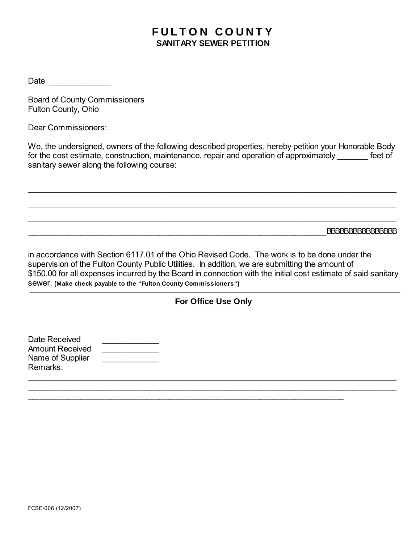# **FULTON COUNTY SANITARY SEWER PETITION**

Date \_\_\_\_\_\_\_\_\_\_\_\_\_\_

Board of County Commissioners Fulton County, Ohio

Dear Commissioners:

We, the undersigned, owners of the following described properties, hereby petition your Honorable Body for the cost estimate, construction, maintenance, repair and operation of approximately feet of sanitary sewer along the following course:

\_\_\_\_\_\_\_\_\_\_\_\_\_\_\_\_\_\_\_\_\_\_\_\_\_\_\_\_\_\_\_\_\_\_\_\_\_\_\_\_\_\_\_\_\_\_\_\_\_\_\_\_\_\_\_\_\_\_\_\_\_\_\_\_\_\_\_\_\_\_\_\_\_\_\_\_\_\_\_\_\_\_\_\_

\_\_\_\_\_\_\_\_\_\_\_\_\_\_\_\_\_\_\_\_\_\_\_\_\_\_\_\_\_\_\_\_\_\_\_\_\_\_\_\_\_\_\_\_\_\_\_\_\_\_\_\_\_\_\_\_\_\_\_\_\_\_\_\_\_\_\_\_\_\_\_\_\_\_\_\_\_\_\_\_\_\_\_\_

\_\_\_\_\_\_\_\_\_\_\_\_\_\_\_\_\_\_\_\_\_\_\_\_\_\_\_\_\_\_\_\_\_\_\_\_\_\_\_\_\_\_\_\_\_\_\_\_\_\_\_\_\_\_\_\_\_\_\_\_\_\_\_\_\_\_\_\_\_\_\_\_\_\_\_\_\_\_\_\_\_\_\_\_

\_\_\_\_\_\_\_\_\_\_\_\_\_\_\_\_\_\_\_\_\_\_\_\_\_\_\_\_\_\_\_\_\_\_\_\_\_\_\_\_\_\_\_\_\_\_\_\_\_\_\_\_\_\_\_\_\_\_\_\_\_\_\_\_\_\_\_\_BBBBBBBBBBBBBBBB

in accordance with Section 6117.01 of the Ohio Revised Code. The work is to be done under the supervision of the Fulton County Public Utilities. In addition, we are submitting the amount of \$150.00 for all expenses incurred by the Board in connection with the initial cost estimate of said sanitary sewer. **(Make check payable to the "Fulton County Commissioners")**

### **For Office Use Only**

 $\overline{a}$  , and the contribution of the contribution of the contribution of the contribution of the contribution of the contribution of the contribution of the contribution of the contribution of the contribution of the co \_\_\_\_\_\_\_\_\_\_\_\_\_\_\_\_\_\_\_\_\_\_\_\_\_\_\_\_\_\_\_\_\_\_\_\_\_\_\_\_\_\_\_\_\_\_\_\_\_\_\_\_\_\_\_\_\_\_\_\_\_\_\_\_\_\_\_\_\_\_\_\_\_\_\_\_\_\_\_\_\_\_\_\_

 $\overline{\phantom{a}}$  , and the contribution of the contribution of the contribution of the contribution of the contribution of the contribution of the contribution of the contribution of the contribution of the contribution of the

| Date Received    |  |
|------------------|--|
| Amount Received  |  |
| Name of Supplier |  |
| Remarks:         |  |